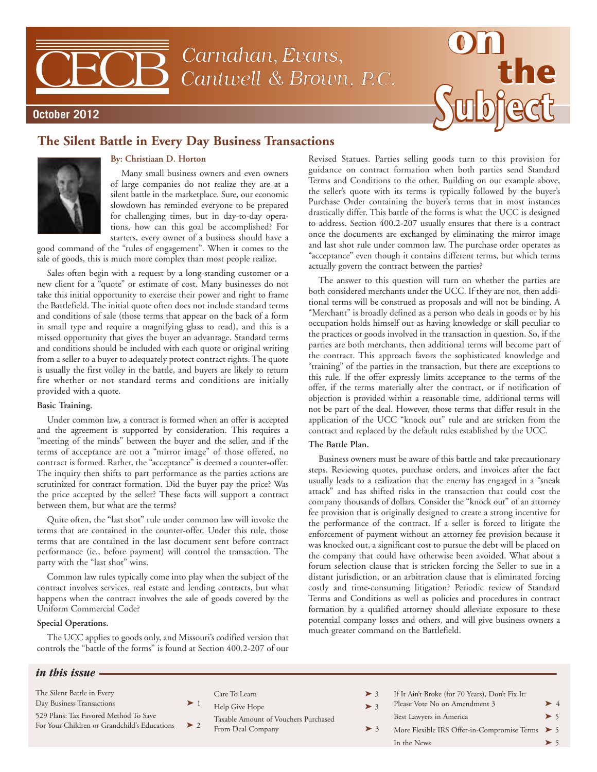Carnahan, Evans, Cantwell & Brown, P.C.



## **The Silent Battle in Every Day Business Transactions**



**October 2012**

## **By: Christiaan D. Horton**

Many small business owners and even owners of large companies do not realize they are at a silent battle in the marketplace. Sure, our economic slowdown has reminded everyone to be prepared for challenging times, but in day-to-day operations, how can this goal be accomplished? For starters, every owner of a business should have a

good command of the "rules of engagement". When it comes to the sale of goods, this is much more complex than most people realize.

Sales often begin with a request by a long-standing customer or a new client for a "quote" or estimate of cost. Many businesses do not take this initial opportunity to exercise their power and right to frame the Battlefield. The initial quote often does not include standard terms and conditions of sale (those terms that appear on the back of a form in small type and require a magnifying glass to read), and this is a missed opportunity that gives the buyer an advantage. Standard terms and conditions should be included with each quote or original writing from a seller to a buyer to adequately protect contract rights. The quote is usually the first volley in the battle, and buyers are likely to return fire whether or not standard terms and conditions are initially provided with a quote.

## **Basic Training.**

Under common law, a contract is formed when an offer is accepted and the agreement is supported by consideration. This requires a "meeting of the minds" between the buyer and the seller, and if the terms of acceptance are not a "mirror image" of those offered, no contract is formed. Rather, the "acceptance" is deemed a counter-offer. The inquiry then shifts to part performance as the parties actions are scrutinized for contract formation. Did the buyer pay the price? Was the price accepted by the seller? These facts will support a contract between them, but what are the terms?

Quite often, the "last shot" rule under common law will invoke the terms that are contained in the counter-offer. Under this rule, those terms that are contained in the last document sent before contract performance (ie., before payment) will control the transaction. The party with the "last shot" wins.

Common law rules typically come into play when the subject of the contract involves services, real estate and lending contracts, but what happens when the contract involves the sale of goods covered by the Uniform Commercial Code?

## **Special Operations.**

The UCC applies to goods only, and Missouri's codified version that controls the "battle of the forms" is found at Section 400.2-207 of our

Revised Statues. Parties selling goods turn to this provision for guidance on contract formation when both parties send Standard Terms and Conditions to the other. Building on our example above, the seller's quote with its terms is typically followed by the buyer's Purchase Order containing the buyer's terms that in most instances drastically differ. This battle of the forms is what the UCC is designed to address. Section 400.2-207 usually ensures that there is a contract once the documents are exchanged by eliminating the mirror image and last shot rule under common law. The purchase order operates as "acceptance" even though it contains different terms, but which terms actually govern the contract between the parties?

The answer to this question will turn on whether the parties are both considered merchants under the UCC. If they are not, then additional terms will be construed as proposals and will not be binding. A "Merchant" is broadly defined as a person who deals in goods or by his occupation holds himself out as having knowledge or skill peculiar to the practices or goods involved in the transaction in question. So, if the parties are both merchants, then additional terms will become part of the contract. This approach favors the sophisticated knowledge and "training" of the parties in the transaction, but there are exceptions to this rule. If the offer expressly limits acceptance to the terms of the offer, if the terms materially alter the contract, or if notification of objection is provided within a reasonable time, additional terms will not be part of the deal. However, those terms that differ result in the application of the UCC "knock out" rule and are stricken from the contract and replaced by the default rules established by the UCC.

## **The Battle Plan.**

Business owners must be aware of this battle and take precautionary steps. Reviewing quotes, purchase orders, and invoices after the fact usually leads to a realization that the enemy has engaged in a "sneak attack" and has shifted risks in the transaction that could cost the company thousands of dollars. Consider the "knock out" of an attorney fee provision that is originally designed to create a strong incentive for the performance of the contract. If a seller is forced to litigate the enforcement of payment without an attorney fee provision because it was knocked out, a significant cost to pursue the debt will be placed on the company that could have otherwise been avoided. What about a forum selection clause that is stricken forcing the Seller to sue in a distant jurisdiction, or an arbitration clause that is eliminated forcing costly and time-consuming litigation? Periodic review of Standard Terms and Conditions as well as policies and procedures in contract formation by a qualified attorney should alleviate exposure to these potential company losses and others, and will give business owners a much greater command on the Battlefield.

## *in this issue*

- The Silent Battle in Every
- Day Business Transactions
- 529 Plans: Tax Favored Method To Save
- For Your Children or Grandchild's Educations
- $\text{Care To Learn}$   $\rightarrow$  3
- Help Give Hope  $>$  3
	- Taxable Amount of Vouchers Purchased From Deal Company  $\triangleright$  3
- If It Ain't Broke (for 70 Years), Don't Fix It:
- Please Vote No on Amendment 3
- Best Lawyers in America
	- More Flexible IRS Offer-in-Compromise Terms ▶ 5 In the News  $> 5$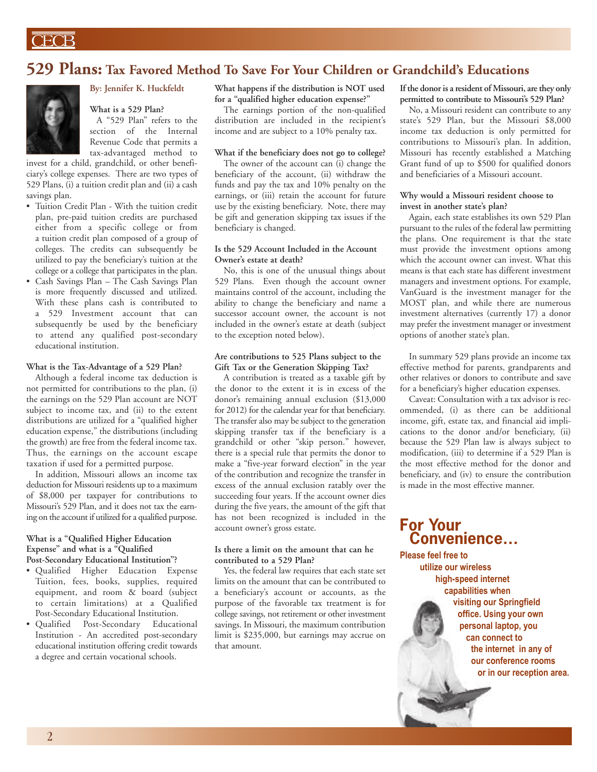## **529 Plans: Tax Favored Method To Save For Your Children or Grandchild's Educations**



## **By: Jennifer K. Huckfeldt**

**What is a 529 Plan?**

A "529 Plan" refers to the section of the Internal Revenue Code that permits a tax-advantaged method to

invest for a child, grandchild, or other beneficiary's college expenses. There are two types of 529 Plans, (i) a tuition credit plan and (ii) a cash savings plan.

- Tuition Credit Plan With the tuition credit plan, pre-paid tuition credits are purchased either from a specific college or from a tuition credit plan composed of a group of colleges. The credits can subsequently be utilized to pay the beneficiary's tuition at the college or a college that participates in the plan.
- Cash Savings Plan The Cash Savings Plan is more frequently discussed and utilized. With these plans cash is contributed to a 529 Investment account that can subsequently be used by the beneficiary to attend any qualified post-secondary educational institution.

### **What is the Tax-Advantage of a 529 Plan?**

Although a federal income tax deduction is not permitted for contributions to the plan, (i) the earnings on the 529 Plan account are NOT subject to income tax, and (ii) to the extent distributions are utilized for a "qualified higher education expense," the distributions (including the growth) are free from the federal income tax. Thus, the earnings on the account escape taxation if used for a permitted purpose.

In addition, Missouri allows an income tax deduction for Missouri residents up to a maximum of \$8,000 per taxpayer for contributions to Missouri's 529 Plan, and it does not tax the earning on the account if utilized for a qualified purpose.

### **What is a "Qualified Higher Education Expense" and what is a "Qualified Post-Secondary Educational Institution"?**

- Qualified Higher Education Expense Tuition, fees, books, supplies, required equipment, and room & board (subject to certain limitations) at a Qualified Post-Secondary Educational Institution.
- Qualified Post-Secondary Educational Institution - An accredited post-secondary educational institution offering credit towards a degree and certain vocational schools.

**What happens if the distribution is NOT used for a "qualified higher education expense?"**

The earnings portion of the non-qualified distribution are included in the recipient's income and are subject to a 10% penalty tax.

## **What if the beneficiary does not go to college?**

The owner of the account can (i) change the beneficiary of the account, (ii) withdraw the funds and pay the tax and 10% penalty on the earnings, or (iii) retain the account for future use by the existing beneficiary. Note, there may be gift and generation skipping tax issues if the beneficiary is changed.

### **Is the 529 Account Included in the Account Owner's estate at death?**

No, this is one of the unusual things about 529 Plans. Even though the account owner maintains control of the account, including the ability to change the beneficiary and name a successor account owner, the account is not included in the owner's estate at death (subject to the exception noted below).

### **Are contributions to 525 Plans subject to the Gift Tax or the Generation Skipping Tax?**

A contribution is treated as a taxable gift by the donor to the extent it is in excess of the donor's remaining annual exclusion (\$13,000 for 2012) for the calendar year for that beneficiary. The transfer also may be subject to the generation skipping transfer tax if the beneficiary is a grandchild or other "skip person." however, there is a special rule that permits the donor to make a "five-year forward election" in the year of the contribution and recognize the transfer in excess of the annual exclusion ratably over the succeeding four years. If the account owner dies during the five years, the amount of the gift that has not been recognized is included in the account owner's gross estate.

### **Is there a limit on the amount that can he contributed to a 529 Plan?**

Yes, the federal law requires that each state set limits on the amount that can be contributed to a beneficiary's account or accounts, as the purpose of the favorable tax treatment is for college savings, not retirement or other investment savings. In Missouri, the maximum contribution limit is \$235,000, but earnings may accrue on that amount.

### **If the donoris a resident of Missouri, are they only permitted to contribute to Missouri's 529 Plan?**

No, a Missouri resident can contribute to any state's 529 Plan, but the Missouri \$8,000 income tax deduction is only permitted for contributions to Missouri's plan. In addition, Missouri has recently established a Matching Grant fund of up to \$500 for qualified donors and beneficiaries of a Missouri account.

### **Why would a Missouri resident choose to invest in another state's plan?**

Again, each state establishes its own 529 Plan pursuant to the rules of the federal law permitting the plans. One requirement is that the state must provide the investment options among which the account owner can invest. What this means is that each state has different investment managers and investment options. For example, VanGuard is the investment manager for the MOST plan, and while there are numerous investment alternatives (currently 17) a donor may prefer the investment manager or investment options of another state's plan.

In summary 529 plans provide an income tax effective method for parents, grandparents and other relatives or donors to contribute and save for a beneficiary's higher education expenses.

Caveat: Consultation with a tax advisor is recommended, (i) as there can be additional income, gift, estate tax, and financial aid implications to the donor and/or beneficiary, (ii) because the 529 Plan law is always subject to modification, (iii) to determine if a 529 Plan is the most effective method for the donor and beneficiary, and (iv) to ensure the contribution is made in the most effective manner.

## **For Your Convenience…**

**Please feel free to utilize our wireless high-speed internet capabilities when visiting our Springfield office. Using your own personal laptop, you can connect to the internet in any of our conference rooms or in our reception area.**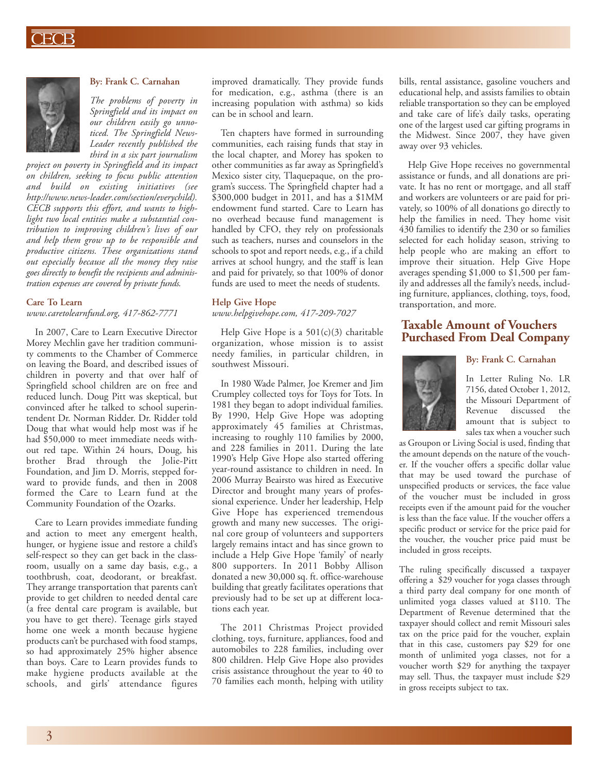

### **By: Frank C. Carnahan**

*The problems of poverty in Springfield and its impact on our children easily go unnoticed. The Springfield News-Leader recently published the third in a six part journalism*

*project on poverty in Springfield and its impact on children, seeking to focus public attention and build on existing initiatives (see http://www.news-leader.com/section/everychild). CECB supports this effort, and wants to highlight two local entities make a substantial contribution to improving children's lives of our and help them grow up to be responsible and productive citizens. These organizations stand out especially because all the money they raise goes directly to benefit the recipients and administration expenses are covered by private funds.*

### **Care To Learn**

*www.caretolearnfund.org, 417-862-7771*

In 2007, Care to Learn Executive Director Morey Mechlin gave her tradition community comments to the Chamber of Commerce on leaving the Board, and described issues of children in poverty and that over half of Springfield school children are on free and reduced lunch. Doug Pitt was skeptical, but convinced after he talked to school superintendent Dr. Norman Ridder. Dr. Ridder told Doug that what would help most was if he had \$50,000 to meet immediate needs without red tape. Within 24 hours, Doug, his brother Brad through the Jolie-Pitt Foundation, and Jim D. Morris, stepped forward to provide funds, and then in 2008 formed the Care to Learn fund at the Community Foundation of the Ozarks.

Care to Learn provides immediate funding and action to meet any emergent health, hunger, or hygiene issue and restore a child's self-respect so they can get back in the classroom, usually on a same day basis, e.g., a toothbrush, coat, deodorant, or breakfast. They arrange transportation that parents can't provide to get children to needed dental care (a free dental care program is available, but you have to get there). Teenage girls stayed home one week a month because hygiene products can't be purchased with food stamps, so had approximately 25% higher absence than boys. Care to Learn provides funds to make hygiene products available at the schools, and girls' attendance figures

improved dramatically. They provide funds for medication, e.g., asthma (there is an increasing population with asthma) so kids can be in school and learn.

Ten chapters have formed in surrounding communities, each raising funds that stay in the local chapter, and Morey has spoken to other communities as far away as Springfield's Mexico sister city, Tlaquepaque, on the program's success. The Springfield chapter had a \$300,000 budget in 2011, and has a \$1MM endowment fund started. Care to Learn has no overhead because fund management is handled by CFO, they rely on professionals such as teachers, nurses and counselors in the schools to spot and report needs, e.g., if a child arrives at school hungry, and the staff is lean and paid for privately, so that 100% of donor funds are used to meet the needs of students.

### **Help Give Hope**

*www.helpgivehope.com, 417-209-7027*

Help Give Hope is a 501(c)(3) charitable organization, whose mission is to assist needy families, in particular children, in southwest Missouri.

In 1980 Wade Palmer, Joe Kremer and Jim Crumpley collected toys for Toys for Tots. In 1981 they began to adopt individual families. By 1990, Help Give Hope was adopting approximately 45 families at Christmas, increasing to roughly 110 families by 2000, and 228 families in 2011. During the late 1990's Help Give Hope also started offering year-round assistance to children in need. In 2006 Murray Beairsto was hired as Executive Director and brought many years of professional experience. Under her leadership, Help Give Hope has experienced tremendous growth and many new successes. The original core group of volunteers and supporters largely remains intact and has since grown to include a Help Give Hope 'family' of nearly 800 supporters. In 2011 Bobby Allison donated a new 30,000 sq. ft. office-warehouse building that greatly facilitates operations that previously had to be set up at different locations each year.

The 2011 Christmas Project provided clothing, toys, furniture, appliances, food and automobiles to 228 families, including over 800 children. Help Give Hope also provides crisis assistance throughout the year to 40 to 70 families each month, helping with utility bills, rental assistance, gasoline vouchers and educational help, and assists families to obtain reliable transportation so they can be employed and take care of life's daily tasks, operating one of the largest used car gifting programs in the Midwest. Since 2007, they have given away over 93 vehicles.

Help Give Hope receives no governmental assistance or funds, and all donations are private. It has no rent or mortgage, and all staff and workers are volunteers or are paid for privately, so 100% of all donations go directly to help the families in need. They home visit 430 families to identify the 230 or so families selected for each holiday season, striving to help people who are making an effort to improve their situation. Help Give Hope averages spending \$1,000 to \$1,500 per family and addresses all the family's needs, including furniture, appliances, clothing, toys, food, transportation, and more.

## **Taxable Amount of Vouchers Purchased From Deal Company**

## **By: Frank C. Carnahan**



In Letter Ruling No. LR 7156, dated October 1, 2012, the Missouri Department of Revenue discussed the amount that is subject to sales tax when a voucher such

as Groupon or Living Social is used, finding that the amount depends on the nature of the voucher. If the voucher offers a specific dollar value that may be used toward the purchase of unspecified products or services, the face value of the voucher must be included in gross receipts even if the amount paid for the voucher is less than the face value. If the voucher offers a specific product or service for the price paid for the voucher, the voucher price paid must be included in gross receipts.

The ruling specifically discussed a taxpayer offering a \$29 voucher for yoga classes through a third party deal company for one month of unlimited yoga classes valued at \$110. The Department of Revenue determined that the taxpayer should collect and remit Missouri sales tax on the price paid for the voucher, explain that in this case, customers pay \$29 for one month of unlimited yoga classes, not for a voucher worth \$29 for anything the taxpayer may sell. Thus, the taxpayer must include \$29 in gross receipts subject to tax.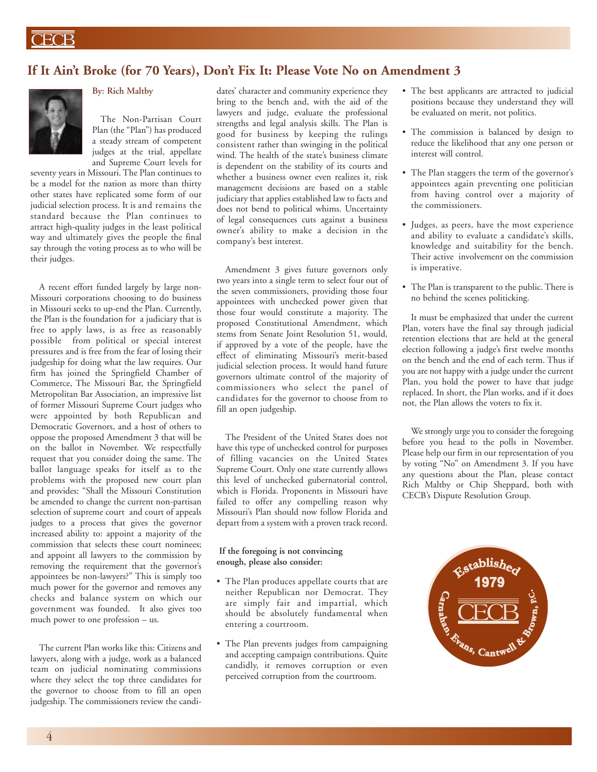## **If It Ain't Broke (for 70 Years), Don't Fix It: Please Vote No on Amendment 3**



## **By: Rich Maltby**

The Non-Partisan Court Plan (the "Plan") has produced a steady stream of competent judges at the trial, appellate and Supreme Court levels for

seventy years in Missouri. The Plan continues to be a model for the nation as more than thirty other states have replicated some form of our judicial selection process. It is and remains the standard because the Plan continues to attract high-quality judges in the least political way and ultimately gives the people the final say through the voting process as to who will be their judges.

A recent effort funded largely by large non-Missouri corporations choosing to do business in Missouri seeks to up-end the Plan. Currently, the Plan is the foundation for a judiciary that is free to apply laws, is as free as reasonably possible from political or special interest pressures and is free from the fear of losing their judgeship for doing what the law requires. Our firm has joined the Springfield Chamber of Commerce, The Missouri Bar, the Springfield Metropolitan Bar Association, an impressive list of former Missouri Supreme Court judges who were appointed by both Republican and Democratic Governors, and a host of others to oppose the proposed Amendment 3 that will be on the ballot in November. We respectfully request that you consider doing the same. The ballot language speaks for itself as to the problems with the proposed new court plan and provides: "Shall the Missouri Constitution be amended to change the current non-partisan selection of supreme court and court of appeals judges to a process that gives the governor increased ability to: appoint a majority of the commission that selects these court nominees; and appoint all lawyers to the commission by removing the requirement that the governor's appointees be non-lawyers?" This is simply too much power for the governor and removes any checks and balance system on which our government was founded. It also gives too much power to one profession – us.

The current Plan works like this: Citizens and lawyers, along with a judge, work as a balanced team on judicial nominating commissions where they select the top three candidates for the governor to choose from to fill an open judgeship. The commissioners review the candi-

dates' character and community experience they bring to the bench and, with the aid of the lawyers and judge, evaluate the professional strengths and legal analysis skills. The Plan is good for business by keeping the rulings consistent rather than swinging in the political wind. The health of the state's business climate is dependent on the stability of its courts and whether a business owner even realizes it, risk management decisions are based on a stable judiciary that applies established law to facts and does not bend to political whims. Uncertainty of legal consequences cuts against a business owner's ability to make a decision in the company's best interest.

Amendment 3 gives future governors only two years into a single term to select four out of the seven commissioners, providing those four appointees with unchecked power given that those four would constitute a majority. The proposed Constitutional Amendment, which stems from Senate Joint Resolution 51, would, if approved by a vote of the people, have the effect of eliminating Missouri's merit-based judicial selection process. It would hand future governors ultimate control of the majority of commissioners who select the panel of candidates for the governor to choose from to fill an open judgeship.

The President of the United States does not have this type of unchecked control for purposes of filling vacancies on the United States Supreme Court. Only one state currently allows this level of unchecked gubernatorial control, which is Florida. Proponents in Missouri have failed to offer any compelling reason why Missouri's Plan should now follow Florida and depart from a system with a proven track record.

### **If the foregoing is not convincing enough, please also consider:**

- The Plan produces appellate courts that are neither Republican nor Democrat. They are simply fair and impartial, which should be absolutely fundamental when entering a courtroom.
- The Plan prevents judges from campaigning and accepting campaign contributions. Quite candidly, it removes corruption or even perceived corruption from the courtroom.
- The best applicants are attracted to judicial positions because they understand they will be evaluated on merit, not politics.
- The commission is balanced by design to reduce the likelihood that any one person or interest will control.
- The Plan staggers the term of the governor's appointees again preventing one politician from having control over a majority of the commissioners.
- Judges, as peers, have the most experience and ability to evaluate a candidate's skills, knowledge and suitability for the bench. Their active involvement on the commission is imperative.
- The Plan is transparent to the public. There is no behind the scenes politicking.

It must be emphasized that under the current Plan, voters have the final say through judicial retention elections that are held at the general election following a judge's first twelve months on the bench and the end of each term. Thus if you are not happy with a judge under the current Plan, you hold the power to have that judge replaced. In short, the Plan works, and if it does not, the Plan allows the voters to fix it.

We strongly urge you to consider the foregoing before you head to the polls in November. Please help our firm in our representation of you by voting "No" on Amendment 3. If you have any questions about the Plan, please contact Rich Maltby or Chip Sheppard, both with CECB's Dispute Resolution Group.

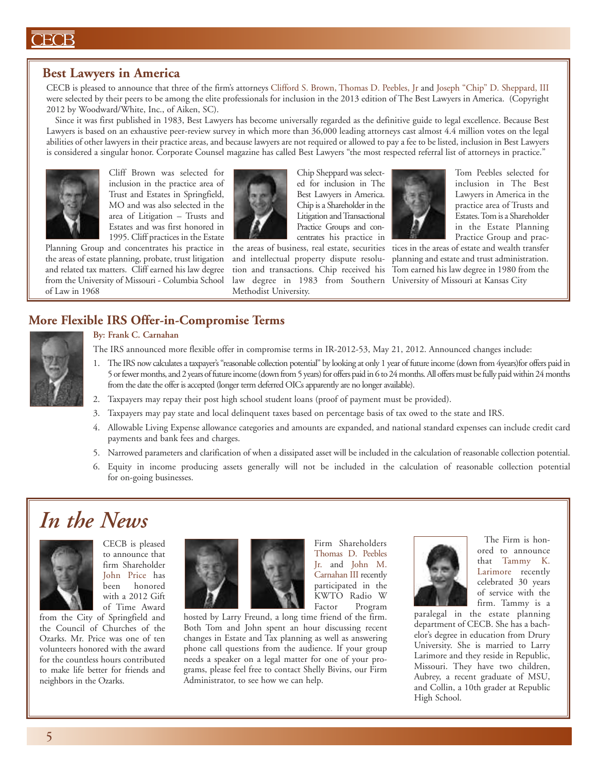## $\overline{ECB}$

## **Best Lawyers in America**

CECB is pleased to announce that three of the firm's attorneys Clifford S. Brown, Thomas D. Peebles, Jr and Joseph "Chip" D. Sheppard, III were selected by their peers to be among the elite professionals for inclusion in the 2013 edition of The Best Lawyers in America. (Copyright 2012 by Woodward/White, Inc., of Aiken, SC).

Since it was first published in 1983, Best Lawyers has become universally regarded as the definitive guide to legal excellence. Because Best Lawyers is based on an exhaustive peer-review survey in which more than 36,000 leading attorneys cast almost 4.4 million votes on the legal abilities of other lawyers in their practice areas, and because lawyers are not required or allowed to pay a fee to be listed, inclusion in Best Lawyers is considered a singular honor. Corporate Counsel magazine has called Best Lawyers "the most respected referral list of attorneys in practice."



Cliff Brown was selected for inclusion in the practice area of Trust and Estates in Springfield, MO and was also selected in the area of Litigation – Trusts and Estates and was first honored in 1995. Cliff practices in the Estate

Planning Group and concentrates his practice in the areas of estate planning, probate, trust litigation and related tax matters. Cliff earned his law degree from the University of Missouri - Columbia School of Law in 1968



Chip Sheppard was selected for inclusion in The Best Lawyers in America. Chip is a Shareholder in the Litigation and Transactional Practice Groups and concentrates his practice in

the areas of business, real estate, securities tices in the areas of estate and wealth transfer law degree in 1983 from Southern University of Missouri at Kansas City Methodist University.



Tom Peebles selected for inclusion in The Best Lawyers in America in the practice area of Trusts and Estates.Tomis a Shareholder in the Estate Planning Practice Group and prac-

and intellectual property dispute resolu- planning and estate and trust administration. tion and transactions. Chip received his Tom earned his law degree in 1980 from the

## **More Flexible IRS Offer-in-Compromise Terms**



## **By: Frank C. Carnahan**

- The IRS announced more flexible offer in compromise terms in IR-2012-53, May 21, 2012. Announced changes include:
- 1. TheIRS nowcalculates a taxpayer's "reasonable collection potential" by looking at only 1 year of futureincome(down from 4years)for offers paid in 5 orfewermonths, and 2 years offutureincome(downfrom5 years)for offers paid in6 to 24months.All offersmust befully paidwithin24months from the date the offer is accepted (longer term deferred OICs apparently are no longer available).
- 2. Taxpayers may repay their post high school student loans (proof of payment must be provided).
- 3. Taxpayers may pay state and local delinquent taxes based on percentage basis of tax owed to the state and IRS.
- 4. Allowable Living Expense allowance categories and amounts are expanded, and national standard expenses can include credit card payments and bank fees and charges.
- 5. Narrowed parameters and clarification of when a dissipated asset will be included in the calculation of reasonable collection potential.
- 6. Equity in income producing assets generally will not be included in the calculation of reasonable collection potential for on-going businesses.

# *In the News*



CECB is pleased to announce that firm Shareholder John Price has been honored with a 2012 Gift of Time Award

from the City of Springfield and the Council of Churches of the Ozarks. Mr. Price was one of ten volunteers honored with the award for the countless hours contributed to make life better for friends and neighbors in the Ozarks.



Firm Shareholders Thomas D. Peebles Jr. and John M. Carnahan III recently participated in the KWTO Radio W Factor Program

hosted by Larry Freund, a long time friend of the firm. Both Tom and John spent an hour discussing recent changes in Estate and Tax planning as well as answering phone call questions from the audience. If your group needs a speaker on a legal matter for one of your programs, please feel free to contact Shelly Bivins, our Firm Administrator, to see how we can help.



The Firm is honored to announce that Tammy K. Larimore recently celebrated 30 years of service with the firm. Tammy is a

paralegal in the estate planning department of CECB. She has a bachelor's degree in education from Drury University. She is married to Larry Larimore and they reside in Republic, Missouri. They have two children, Aubrey, a recent graduate of MSU, and Collin, a 10th grader at Republic High School.